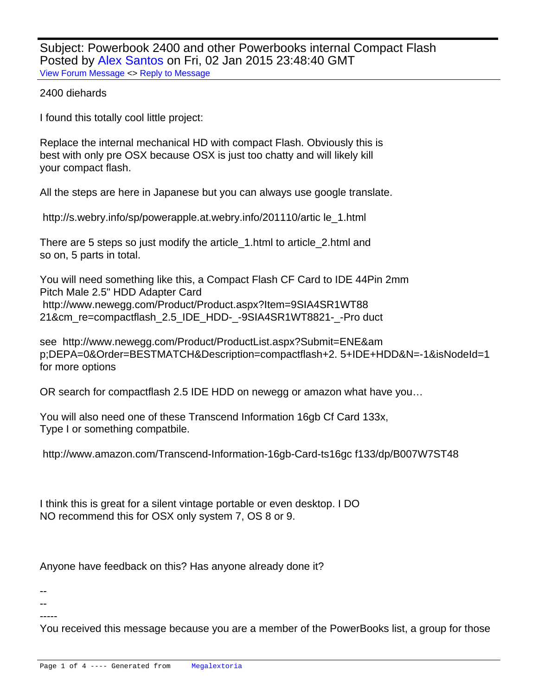Subject: Powerbook 2400 and other Powerbooks internal Compact Flash Posted by [Alex Santos](http://www.megalextoria.com/forum2/index.php?t=usrinfo&id=18582) on Fri, 02 Jan 2015 23:48:40 GMT [View Forum Message](http://www.megalextoria.com/forum2/index.php?t=rview&th=84673&goto=277203#msg_277203) <> [Reply to Message](http://www.megalextoria.com/forum2/index.php?t=post&reply_to=277203)

## 2400 diehards

I found this totally cool little project:

Replace the internal mechanical HD with compact Flash. Obviously this is best with only pre OSX because OSX is just too chatty and will likely kill your compact flash.

All the steps are here in Japanese but you can always use google translate.

http://s.webry.info/sp/powerapple.at.webry.info/201110/artic le\_1.html

There are 5 steps so just modify the article\_1.html to article\_2.html and so on, 5 parts in total.

You will need something like this, a Compact Flash CF Card to IDE 44Pin 2mm Pitch Male 2.5" HDD Adapter Card http://www.newegg.com/Product/Product.aspx?Item=9SIA4SR1WT88 21&cm\_re=compactflash\_2.5\_IDE\_HDD-\_-9SIA4SR1WT8821-\_-Pro duct

see http://www.newegg.com/Product/ProductList.aspx?Submit=ENE&am p;DEPA=0&Order=BESTMATCH&Description=compactflash+2. 5+IDE+HDD&N=-1&isNodeId=1 for more options

OR search for compactflash 2.5 IDE HDD on newegg or amazon what have you…

You will also need one of these Transcend Information 16gb Cf Card 133x, Type I or something compatbile.

http://www.amazon.com/Transcend-Information-16gb-Card-ts16gc f133/dp/B007W7ST48

I think this is great for a silent vintage portable or even desktop. I DO NO recommend this for OSX only system 7, OS 8 or 9.

Anyone have feedback on this? Has anyone already done it?

--

-- -----

You received this message because you are a member of the PowerBooks list, a group for those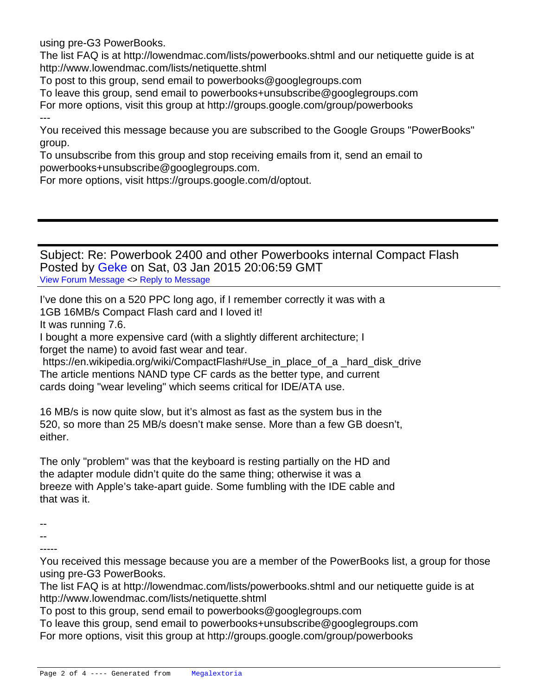using pre-G3 PowerBooks.

The list FAQ is at http://lowendmac.com/lists/powerbooks.shtml and our netiquette guide is at http://www.lowendmac.com/lists/netiquette.shtml

To post to this group, send email to powerbooks@googlegroups.com

To leave this group, send email to powerbooks+unsubscribe@googlegroups.com For more options, visit this group at http://groups.google.com/group/powerbooks ---

You received this message because you are subscribed to the Google Groups "PowerBooks" group.

To unsubscribe from this group and stop receiving emails from it, send an email to powerbooks+unsubscribe@googlegroups.com.

For more options, visit https://groups.google.com/d/optout.

## Subject: Re: Powerbook 2400 and other Powerbooks internal Compact Flash Posted by [Geke](http://www.megalextoria.com/forum2/index.php?t=usrinfo&id=777) on Sat, 03 Jan 2015 20:06:59 GMT [View Forum Message](http://www.megalextoria.com/forum2/index.php?t=rview&th=84673&goto=277279#msg_277279) <> [Reply to Message](http://www.megalextoria.com/forum2/index.php?t=post&reply_to=277279)

I've done this on a 520 PPC long ago, if I remember correctly it was with a 1GB 16MB/s Compact Flash card and I loved it!

It was running 7.6.

I bought a more expensive card (with a slightly different architecture; I forget the name) to avoid fast wear and tear.

 https://en.wikipedia.org/wiki/CompactFlash#Use\_in\_place\_of\_a \_hard\_disk\_drive The article mentions NAND type CF cards as the better type, and current cards doing "wear leveling" which seems critical for IDE/ATA use.

16 MB/s is now quite slow, but it's almost as fast as the system bus in the 520, so more than 25 MB/s doesn't make sense. More than a few GB doesn't, either.

The only "problem" was that the keyboard is resting partially on the HD and the adapter module didn't quite do the same thing; otherwise it was a breeze with Apple's take-apart guide. Some fumbling with the IDE cable and that was it.

--

-- -----

You received this message because you are a member of the PowerBooks list, a group for those using pre-G3 PowerBooks.

The list FAQ is at http://lowendmac.com/lists/powerbooks.shtml and our netiquette guide is at http://www.lowendmac.com/lists/netiquette.shtml

To post to this group, send email to powerbooks@googlegroups.com

To leave this group, send email to powerbooks+unsubscribe@googlegroups.com For more options, visit this group at http://groups.google.com/group/powerbooks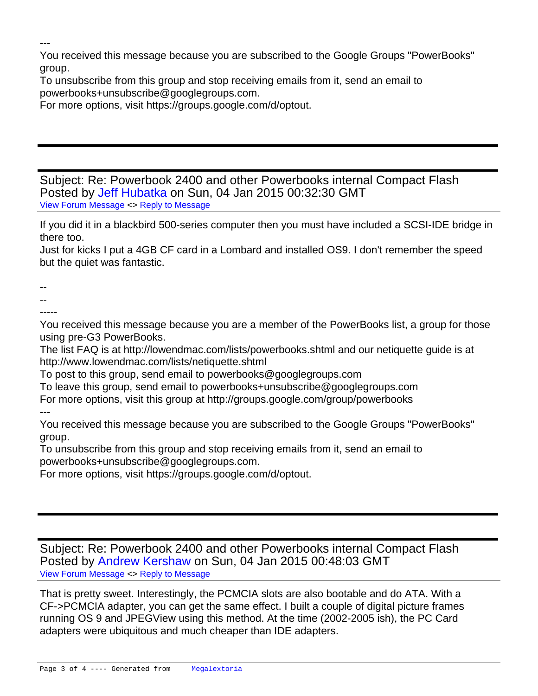---

You received this message because you are subscribed to the Google Groups "PowerBooks" group.

To unsubscribe from this group and stop receiving emails from it, send an email to powerbooks+unsubscribe@googlegroups.com.

For more options, visit https://groups.google.com/d/optout.

Subject: Re: Powerbook 2400 and other Powerbooks internal Compact Flash Posted by [Jeff Hubatka](http://www.megalextoria.com/forum2/index.php?t=usrinfo&id=4677) on Sun, 04 Jan 2015 00:32:30 GMT [View Forum Message](http://www.megalextoria.com/forum2/index.php?t=rview&th=84673&goto=277300#msg_277300) <> [Reply to Message](http://www.megalextoria.com/forum2/index.php?t=post&reply_to=277300)

If you did it in a blackbird 500-series computer then you must have included a SCSI-IDE bridge in there too.

Just for kicks I put a 4GB CF card in a Lombard and installed OS9. I don't remember the speed but the quiet was fantastic.

--

- --
- -----

You received this message because you are a member of the PowerBooks list, a group for those using pre-G3 PowerBooks.

The list FAQ is at http://lowendmac.com/lists/powerbooks.shtml and our netiquette guide is at http://www.lowendmac.com/lists/netiquette.shtml

To post to this group, send email to powerbooks@googlegroups.com

To leave this group, send email to powerbooks+unsubscribe@googlegroups.com For more options, visit this group at http://groups.google.com/group/powerbooks ---

You received this message because you are subscribed to the Google Groups "PowerBooks" group.

To unsubscribe from this group and stop receiving emails from it, send an email to powerbooks+unsubscribe@googlegroups.com.

For more options, visit https://groups.google.com/d/optout.

Subject: Re: Powerbook 2400 and other Powerbooks internal Compact Flash Posted by [Andrew Kershaw](http://www.megalextoria.com/forum2/index.php?t=usrinfo&id=18517) on Sun, 04 Jan 2015 00:48:03 GMT [View Forum Message](http://www.megalextoria.com/forum2/index.php?t=rview&th=84673&goto=277311#msg_277311) <> [Reply to Message](http://www.megalextoria.com/forum2/index.php?t=post&reply_to=277311)

That is pretty sweet. Interestingly, the PCMCIA slots are also bootable and do ATA. With a CF->PCMCIA adapter, you can get the same effect. I built a couple of digital picture frames running OS 9 and JPEGView using this method. At the time (2002-2005 ish), the PC Card adapters were ubiquitous and much cheaper than IDE adapters.